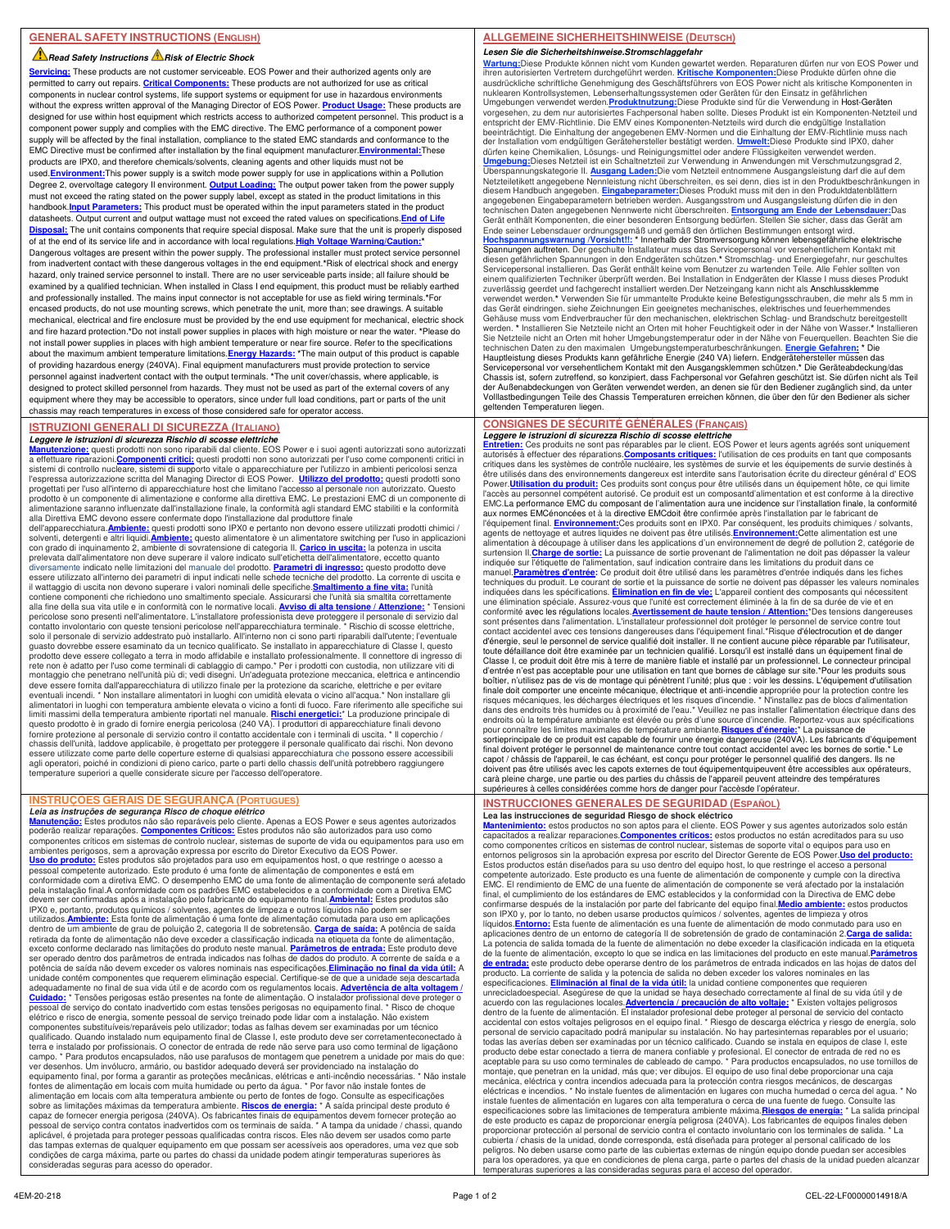#### **Read Safety Instructions A Risk of Electric Shock**

**Servicing:** These products are not customer serviceable. EOS Power and their authorized agents only are permitted to carry out repairs. **Critical Components:** These products are not authorized for use as critical components in nuclear control systems, life support systems or equipment for use in hazardous environments without the express written approval of the Managing Director of EOS Power. **Product Usage:** These products are designed for use within host equipment which restricts access to authorized competent personnel. This product is a component power supply and complies with the EMC directive. The EMC performance of a component power supply will be affected by the final installation, compliance to the stated EMC standards and conformance to the EMC Directive must be confirmed after installation by the final equipment manufacturer.**Environmental:**These products are IPX0, and therefore chemicals/solvents, cleaning agents and other liquids must not be used.**Environment:**This power supply is a switch mode power supply for use in applications within a Pollution Degree 2, overvoltage category II environment. **Output Loading:** The output power taken from the power supply must not exceed the rating stated on the power supply label, except as stated in the product limitations in this handbook.<mark>Input Parameters:</mark> This product must be operated within the input parameters stated in the product<br>datasheets. Output current and output wattage must not exceed the rated values on specifications.<mark>End of Life</mark> **Disposal:** The unit contains components that require special disposal. Make sure that the unit is properly disposed of at the end of its service life and in accordance with local regulations. High Voltage Warning/Cau Dangerous voltages are present within the power supply. The professional installer must protect service personnel from inadvertent contact with these dangerous voltages in the end equipment.**\***Risk of electrical shock and energy hazard, only trained service personnel to install. There are no user serviceable parts inside; all failure should be examined by a qualified technician. When installed in Class I end equipment, this product must be reliably earthed and professionally installed. The mains input connector is not acceptable for use as field wiring terminals.**\***For encased products, do not use mounting screws, which penetrate the unit, more than; see drawings. A suitable mechanical, electrical and fire enclosure must be provided by the end use equipment for mechanical, electric shock and fire hazard protection.**\***Do not install power supplies in places with high moisture or near the water. **\***Please do not install power supplies in places with high ambient temperature or near fire source. Refer to the specifications about the maximum ambient temperature limitations.**Energy Hazards: \***The main output of this product is capable of providing hazardous energy (240VA). Final equipment manufacturers must provide protection to service personnel against inadvertent contact with the output terminals. **\***The unit cover/chassis, where applicable, is designed to protect skilled personnel from hazards. They must not be used as part of the external covers of any equipment where they may be accessible to operators, since under full load conditions, part or parts of the unit chassis may reach temperatures in excess of those considered safe for operator access.

#### **ISTRUZIONI GENERALI DI SICUREZZA (ITALIANO)**

**Leggere le istruzioni di sicurezza Rischio di scosse elettriche**<br><mark>Manutenzione:</mark> questi prodotti non sono riparabili dal cliente. EOS Power e i suoi agenti autorizzati sono autorizzati<br>a effettuare riparazioni.<u>Componenti</u> sistemi di controllo nucleare, sistemi di supporto vitale o apparecchiature per l'utilizzo in ambienti pericolosi senza<br>l'espressa autorizzazione scritta del Managing Director di EOS Power. **Utilizzo del prodotto:** questi progettati per l'uso all'interno di apparecchiature host che limitano l'accesso al personale non autorizzato. Questo prodotto è un componente di alimentazione e conforme alla direttiva EMC. Le prestazioni EMC di un componente di<br>alimentazione saranno influenzate dall'installazione finale, la conformità agli standard EMC stabiliti e la co alla Direttiva EMC devono essere confermate dopo l'installazione dal produttore finale dell'apparecchiatura.**Ambiente:** questi prodotti sono IPX0 e pertanto non devono essere utilizzati prodotti chimici /

solventi, detergenti e altri liquidi.**Ambiente:** questo alimentatore è un alimentatore switching per l'uso in applicazioni con grado di inquinamento 2, ambiente di sovratensione di categoria II. <mark>Carico in uscita:</mark> la potenza in uscita<br>prelevata dall'alimentatore non deve superare il valore indicato sull'etichetta dell'alimentatore, eccetto qu diversamente indicato nelle limitazioni del manuale del prodotto. <mark>Parametri di ingresso:</mark> questo prodotto deve<br>essere utilizzato all'interno dei parametri di input indicati nelle schede tecniche del prodotto. La corrente il wattaggio di uscita non devono superare i valori nominali delle specifiche.**Smaltimento a fine vita:** l'unità contiene componenti che richiedono uno smaltimento speciale. Assicurarsi che l'unità sia smaltita correttamente<br>alla fine della sua vita utile e in conformità con le normative locali. <u>Avviso di alta tensione / Attenzione:</u> guasto dovrebbe essere esaminato da un tecnico qualificato. Se installato in apparecchiature di Classe I, questo<br>prodotto deve essere collegato a terra in modo affidabile e installato professionalmente. Il connettore di in rete non è adatto per l'uso come terminali di cablaggio di campo.\* Per i prodotti con custodia, non utilizzare viti di<br>montaggio che penetrano nell'unità più di; vedi disegni. Un'adeguata protezione meccanica, elettrica e eventuali incendi. \* Non installare alimentatori in luoghi con umidità elevata o vicino all'acqua.\* Non installare gli<br>alimentatori in luoghi con temperatura ambiente elevata o vicino a fonti di fuoco. Fare riferimento all questo prodotto è in grado di fornire energia pericolosa (240 VA). I produttori di apparecchiature finali devono fornire protezione al personale di servizio contro il contatto accidentale con i terminali di uscita. \* Il coperchio / chassis dell'unità, laddove applicabile, è progettato per proteggere il personale qualificato dai rischi. Non devono<br>essere utilizzate come parte delle coperture esterne di qualsiasi apparecchiatura che possono essere acce agli operatori, poiché in condizioni di pieno carico, parte o parti dello chassis dell'unità potrebbero raggiungere temperature superiori a quelle considerate sicure per l'accesso dell'operatore.

## **INSTRUÇÕES GERAIS DE SEGURANÇA (PORTUGUES)**

*Leia as instruções de segurança Risco de choque elétrico*<br><u>Manutencão:</u> Estes produtos não são reparáveis pelo cliente. Apenas a EOS Power e seus agentes autorizados<br>poderão realizar reparações. Componentes Críticos: Este ambientes perigosos, sem a aprovação expressa por escrito do Diretor Executivo da EOS Power.<br><mark>Uso do produto:</mark> Estes produtos são projetados para uso em equipamentos host, o que restringe o acesso a pessoal competente autorizado. Este produto é uma fonte de alimentação de componentes e está em conformidade com a diretiva EMC. O desempenho EMC de uma fonte de alimentação de componente será afetado pela instalação final.A conformidade com os padrões EMC estabelecidos e a conformidade com a Diretiva EMC devem ser confirmadas após a instalação pelo fabricante do equipamento final.<mark>Ambiental:</mark> Estes produtos são<br>IPX0 e, portanto, produtos químicos / solventes, agentes de limpeza e outros líquidos não podem ser utilizados.<mark>Ambiente:</mark> Esta fonte de alimentação é uma fonte de alimentação comutada para uso em aplicações<br>dentro de um ambiente de grau de poluição 2, categoria II de sobretensão. <mark>Carga de saída:</mark> A potência de saída retirada da fonte de alimentação não deve exceder a classificação indicada na etiqueta da fonte de alimentação, exceto conforme declarado nas limitações do produto neste manual. **Parâmetros de entrada:** Este produto deve ser operado dentro dos parâmetros de entrada indicados nas folhas de dados do produto. A corrente de saída e a potência de saída não devem exceder os valores nominais nas especificações.**Eliminação no final da vida útil:** A unidade contém componentes que requerem eliminação especial. Certifique-se de que a unidade seja descartada<br>adequadamente no final de sua vida útil e de acordo com os regulamentos locais. <mark>Advertência de alta voltagem</mark> / **Cuidado:** \* Tensões perigosas estão presentes na fonte de alimentação. O instalador profissional deve proteger o pessoal de serviço do contato inadvertido com estas tensões perigosas no equipamento final. \* Risco de choque elétrico e risco de energia, somente pessoal de serviço treinado pode lidar com a instalação. Não existem componentes substituíveis/reparáveis pelo utilizador; todas as falhas devem ser examinadas por um técnico qualificado. Quando instalado num equipamento final de Classe I, este produto deve ser corretamenteconectado à terra e instalado por profissionais. O conector de entrada de rede não serve para uso como terminal de ligaçãono campo. \* Para produtos encapsulados, não use parafusos de montagem que penetrem a unidade por mais do que: ver desenhos. Um invólucro, armário, ou bastidor adequado deverá ser providenciado na instalação do equipamento final, por forma a garantir as proteções mecânicas, elétricas e anti-incêndio necessárias. \* Não instale<br>fontes de alimentação em locais com muita humidade ou perto da água. \* Por favor não instale fontes de alimentação em locais com alta temperatura ambiente ou perto de fontes de fogo. Consulte as especificações sobre as limitações máximas da temperatura ambiente. <mark>Riscos de energia:</mark> \* A saída principal deste produto é<br>capaz de fornecer energia perigosa (240VA). Os fabricantes finais de equipamentos devem fornecer proteção ao pessoal de serviço contra contatos inadvertidos com os terminais de saída. \* A tampa da unidade / chassi, quando aplicável, é projetada para proteger pessoas qualificadas contra riscos. Eles não devem ser usados como parte das tampas externas de qualquer equipamento em que possam ser acessíveis aos operadores, uma vez que sob condições de carga máxima, parte ou partes do chassi da unidade podem atingir temperaturas superiores às consideradas seguras para acesso do operador.

## **ALLGEMEINE SICHERHEITSHINWEISE (DEUTSCH)**

**Lesen Sie die Sicherheitshinweise.Stromschlaggefahr** <mark>Wartung:</mark>Diese Produkte können nicht vom Kunden gewartet werden. Reparaturen dürfen nur von EOS Power und<br>ihren autorisierten Vertretern durchgeführt werden. <u>Kritische Komponenten:</u>Diese Produkte dürfen ohne die<br>ausdrück nuklearen Kontrollsystemen, Lebenserhaltungssystemen oder Geräten für den Einsatz in gefährlichen<br>Umgebungen verwendet werden.P<mark>roduktnutzung</mark>:Diese Produkte sind für die Verwendung in Host-Geräten<br>vorgesehen, zu dem nur a entspricht der EMV-Richtlinie. Die EMV eines Komponenten-Netzteils wird durch die endgütige Installation<br>beeinträchtigt. Die Einhaltung der angegebenen EMV-Normen und die Einhaltung der EMV-Richtlinie muss nach<br>der Instal Überspannungskategorie II. <u>Ausgang Laden:</u>Die vom Netzteil entnommene Ausgangsleistung darf die auf dem<br>Netzteiletikett angegebene Nennleistung nicht überschreiten, es sei denn, dies ist in den Produktbeschränkungen in diesem Handbuch angegeben. <mark>Eingabeparameter:</mark>Dieses Produkt muss mit den in den Produktdatenblättern<br>angegebenen Eingabeparametern betrieben werden. Ausgangsstrom und Ausgangsleistung dürfen die in den technischen Daten angegebenen Nennwerte nicht überschreiten. **Entsorgung am Ende der Lebensdauer**: Das<br>Gerät enthält Komponenten, die einer besonderen Entsorgung bedürfen. Stellen Sie sicher, dass das Gerät am<br>Ende seiner zuverlässig geerdet und fachgerecht installiert werden.Der Netzeingang kann nicht als Anschlussklemme verwendet werden.**\*** Verwenden Sie für ummantelte Produkte keine Befestigungsschrauben, die mehr als 5 mm in das Gerät eindringen. siehe Zeichnungen Ein geeignetes mechanisches, elektrisches und feuerhemmendes Gehäuse muss vom Endverbraucher für den mechanischen, elektrischen Schlag- und Brandschutz bereitgestellt<br>werden. \* Installieren Sie Netzteile nicht an Orten mit hoher Feuchtigkeit oder in der Nähe von Wasser.\* Installiere Sie Netzteile nicht an Orten mit hoher Umgebungstemperatur oder in der Nähe von Feuerquellen. Beachten Sie die<br>technischen Daten zu den maximalen Umgebungstemperaturbeschränkungen. <mark>Energie Gefahren: \*</mark> Die<br>Hauptleistung Servicepersonal vor versehentlichem Kontakt mit den Ausgangsklemmen schützen.\* Die Geräteabdeckung/das<br>Chassis ist, sofern zutreffend, so konzipiert, dass Fachpersonal vor Gefahren geschützt ist. Sie dürfen nicht als Teil der Außenabdeckungen von Geräten verwendet werden, an denen sie für den Bediener zugänglich sind, da unter Volllastbedingungen Teile des Chassis Temperaturen erreichen können, die über den für den Bediener als sicher geltenden Temperaturen liegen.

#### **CONSIGNES DE SÉCURITÉ GÉNÉRALES (FRANÇAIS) Leggere le istruzioni di sicurezza Rischio di scosse elettriche**

Entretien: Ces produits ne sont pas réparables par le client. EOS Power et leurs agents agréés sont uniquement<br>autorisés à effectuer des réparations.Composants critiques: l'utilisation de ces produits en tant que composant critiques dans les systèmes de contrôle nucléaire, les systèmes de survie et les équipements de survie destinés à être utilisés dans des environnements dangereux est interdite sans l'autorisation écrite du directeur général d' EOS<br>Power.**Utilisation du produit:** Ces produits sont conçus pour être utilisés dans un équipement hôte, ce q l'accès au personnel compétent autorisé. Ce produit est un composantd'alimentation et est conforme à la directive EMC.La performance EMC du composant de l'alimentation aura une incidence sur l'installation finale, la conformité aux normes EMCénoncées et à la directive EMCdoit être confirmée après l'installation par le fabricant de l'équipement final. <u>Environnement:</u>Ces produits sont en IPX0. Par conséquent, les produits chimiques / solvants,<br>agents de nettoyage et autres liquides ne doivent pas être utilisés.<u>Environnement:</u>Cette alimentation est u alimentation à découpage à utiliser dans les applications d'un environnement de degré de pollution 2, catégorie de<br>surtension II. <mark>Charge de sortie:</mark> La puissance de sortie provenant de l'alimentation ne doit pas dépasser manuel.**Paramètres d'entrée:** Ce produit doit être utilisé dans les paramètres d'entrée indiqués dans les fiches techniques du produit. Le courant de sortie et la puissance de sortie ne doivent pas dépasser les valeurs nominales indiquées dans les spécifications. **Élimination en fin de vie:** L'appareil contient des composants qui nécessitent une élimination spéciale. Assurez-vous que l'unité est correctement éliminée à la fin de sa durée de vie et en<br>conformité avec les régulations locales.<mark>Avertissement de haute tension / Attention:</mark>\*Des tensions dangereuses sont présentes dans l'alimentation. L'installateur professionnel doit protéger le personnel de service contre tout<br>contact accidentel avec ces tensions dangereuses dans l'équipement final.\*Risque d'électrocution et de dang d'énergie, seul le personnel de service qualifié doit installer. Il ne contient aucune pièce réparable par l'utilisateur,<br>toute défaillance doit être examinée par un technicien qualifié. Lorsqu'il est installé dans un équi Classe I, ce produit doit être mis à terre de manière fiable et installé par un professionnel. Le connecteur principal d'entrée n'est pas acceptable pour une utilisation en tant que bornes de câblage sur site.\*Pour les produits sous<br>boîtier, n'utilisez pas de vis de montage qui pénètrent l'unité; plus que : voir les dessins. L'équipement d finale doit comporter une enceinte mécanique, électrique et anti-incendie appropriée pour la protection contre les<br>risques mécaniques, les décharges électriques et les risques d'incendie. \* N'installez pas de blocs d'alime endroits où la température ambiante est élevée ou près d'une source d'incendie. Reportez-vous aux spécifications<br>pour connaître les limites maximales de température ambiante. <mark>Risques d'énergie: "</mark> La puissance de<br>sortiepr doivent pas être utilisés avec les capots externes de tout équipementquipeuvent être accessibles aux opérateurs, carà pleine charge, une partie ou des parties du châssis de l'appareil peuvent atteindre des températures supérieures à celles considérées comme hors de danger pour l'accèsde l'opérateur.

# **INSTRUCCIONES GENERALES DE SEGURIDAD (ESPAÑOL)**

**Lea las instrucciones de seguridad Riesgo de shock eléctrico**<br><mark>Mantenimiento:</mark> estos productos no son aptos para el cliente. EOS Power y sus agentes autorizados solo están<br>capacitados a realizar reparaciones.<u>Componentes </u> como componentes críticos en sistemas de control nuclear, sistemas de soporte vital o equipos para uso en entornos peligrosos sin la aprobación expresa por escrito del Director Gerente de EOS Power.<mark>Uso del producto:</mark><br>Estos productos están diseñados para su uso dentro del equipo host, lo que restringe el acceso a personal competente autorizado. Este producto es una fuente de alimentación de componente y cumple con la directiva EMC. El rendimiento de EMC de una fuente de alimentación de componente se verá afectado por la instalación final, el cumplimiento de los estándares de EMC establecidos y la conformidad con la Directiva de EMC debe<br>confirmarse después de la instalación por parte del fabricante del equipo final.<mark>Medio ambiente:</mark> estos productos<br>s líquidos.<mark>Entorno:</mark> Esta fuente de alimentación es una fuente de alimentación de modo conmutado para uso en<br>aplicaciones dentro de un entorno de categoría II de sobretensión de grado de contaminación 2.<mark>Carga de salida:</mark> La potencia de salida tomada de la fuente de alimentación no debe exceder la clasificación indicada en la etiqueta de la fuente de alimentación, excepto lo que se indica en las limitaciones del producto en este manual.<mark>Parámetros</mark><br><mark>de entrada:</mark> este producto debe operarse dentro de los parámetros de entrada indicados en las hojas de da producto. La corriente de salida y la potencia de salida no deben exceder los valores nominales en las especificaciones. **Eliminación al final de la vida útil:** la unidad contiene componentes que requieren unrecicladoespecial. Asegúrese de que la unidad se haya desechado correctamente al final de su vida útil y de acuerdo con las regulaciones locales.<mark>Advertencia / precaución de alto voltaje:</mark> \* Existen voltajes peligrosos<br>dentro de la fuente de alimentación. El instalador profesional debe proteger al personal de servicio del contac todas las averías deben ser examinadas por un técnico calificado. Cuando se instala en equipos de clase I, este producto debe estar conectado a tierra de manera confiable y profesional. El conector de entrada de red no es aceptable para su uso como terminales de cableado de campo. \* Para productos encapsulados, no use tornillos de montaje, que penetran en la unidad, más que; ver dibujos. El equipo de uso final debe proporcionar una caja mecánica, eléctrica y contra incendios adecuada para la protección contra riesgos mecánicos, de descargas eléctricas e incendios. \* No instale fuentes de alimentación en lugares con mucha humedad o cerca del aqua. ' instale fuentes de alimentación en lugares con alta temperatura o cerca de una fuente de fuego. Consulte las<br>especificaciones sobre las limitaciones de temperatura ambiente máxima. <mark>Riesgos de energía:</mark> \* La salida princip peligros. No deben usarse como parte de las cubiertas externas de ningún equipo donde puedan ser accesibles para los operadores, ya que en condiciones de plena carga, parte o partes del chasis de la unidad pueden alcanzar eraturas superiores a las consideradas seguras para el acceso del operador.